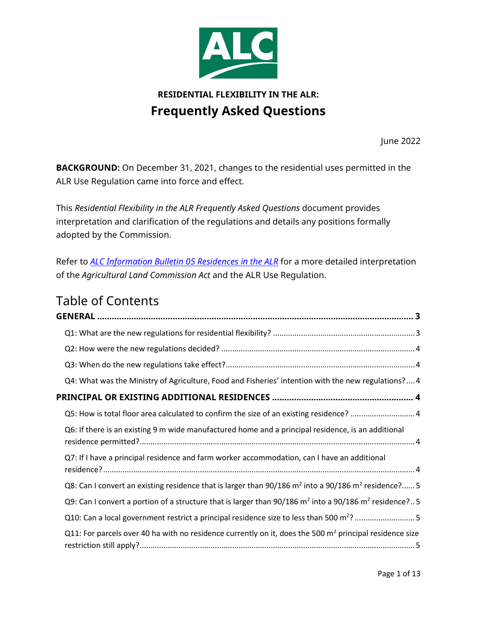

# **RESIDENTIAL FLEXIBILITY IN THE ALR: Frequently Asked Questions**

June 2022

<span id="page-0-0"></span>**BACKGROUND:** On December 31, 2021, changes to the residential uses permitted in the ALR Use Regulation came into force and effect.

This *Residential Flexibility in the ALR Frequently Asked Questions* document provides interpretation and clarification of the regulations and details any positions formally adopted by the Commission.

Refer to *ALC Information Bulletin [05 Residences in the ALR](https://www.alc.gov.bc.ca/assets/alc/assets/legislation-and-regulation/information-bulletins/ib_05_residences_in_the_alr.pdf)* for a more detailed interpretation of the *Agricultural Land Commission Act* and the ALR Use Regulation.

# Table of Contents

| Q4: What was the Ministry of Agriculture, Food and Fisheries' intention with the new regulations? 4                             |
|---------------------------------------------------------------------------------------------------------------------------------|
|                                                                                                                                 |
| Q5: How is total floor area calculated to confirm the size of an existing residence? 4                                          |
| Q6: If there is an existing 9 m wide manufactured home and a principal residence, is an additional                              |
| Q7: If I have a principal residence and farm worker accommodation, can I have an additional                                     |
| Q8: Can I convert an existing residence that is larger than $90/186$ m <sup>2</sup> into a $90/186$ m <sup>2</sup> residence? 5 |
| Q9: Can I convert a portion of a structure that is larger than 90/186 $m^2$ into a 90/186 $m^2$ residence?5                     |
|                                                                                                                                 |
| Q11: For parcels over 40 ha with no residence currently on it, does the 500 $m2$ principal residence size                       |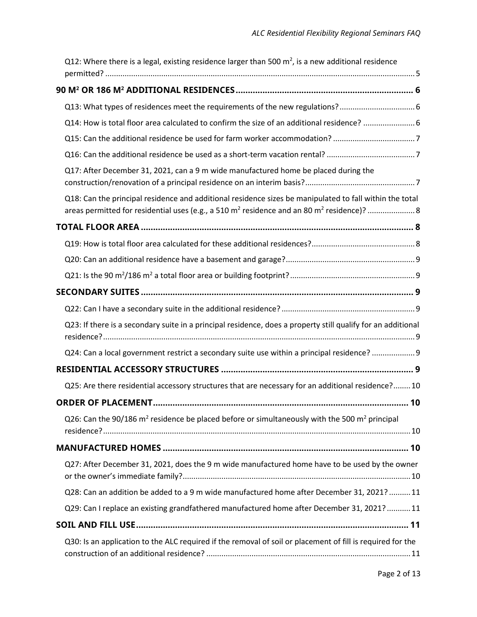| Q12: Where there is a legal, existing residence larger than 500 $m^2$ , is a new additional residence                 |  |
|-----------------------------------------------------------------------------------------------------------------------|--|
|                                                                                                                       |  |
|                                                                                                                       |  |
| Q14: How is total floor area calculated to confirm the size of an additional residence?  6                            |  |
|                                                                                                                       |  |
|                                                                                                                       |  |
| Q17: After December 31, 2021, can a 9 m wide manufactured home be placed during the                                   |  |
| Q18: Can the principal residence and additional residence sizes be manipulated to fall within the total               |  |
|                                                                                                                       |  |
|                                                                                                                       |  |
|                                                                                                                       |  |
|                                                                                                                       |  |
|                                                                                                                       |  |
|                                                                                                                       |  |
| Q23: If there is a secondary suite in a principal residence, does a property still qualify for an additional          |  |
| Q24: Can a local government restrict a secondary suite use within a principal residence?  9                           |  |
|                                                                                                                       |  |
| Q25: Are there residential accessory structures that are necessary for an additional residence? 10                    |  |
| ORDER OF PLACEMENT<br>10                                                                                              |  |
| Q26: Can the 90/186 m <sup>2</sup> residence be placed before or simultaneously with the 500 m <sup>2</sup> principal |  |
|                                                                                                                       |  |
| Q27: After December 31, 2021, does the 9 m wide manufactured home have to be used by the owner                        |  |
| Q28: Can an addition be added to a 9 m wide manufactured home after December 31, 2021?  11                            |  |
| Q29: Can I replace an existing grandfathered manufactured home after December 31, 2021?  11                           |  |
|                                                                                                                       |  |
| Q30: Is an application to the ALC required if the removal of soil or placement of fill is required for the            |  |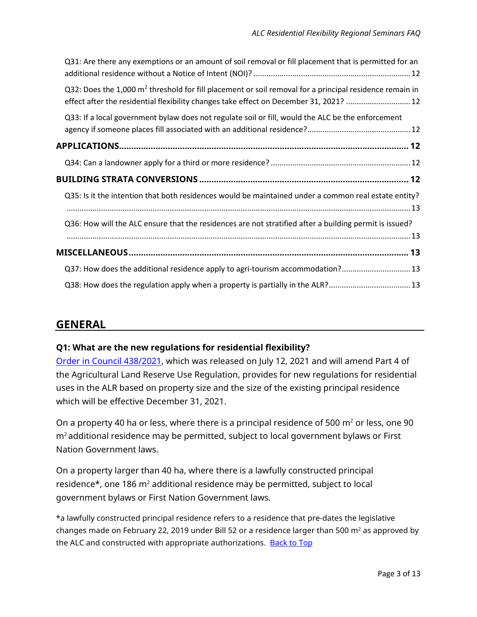| Q32: Does the $1,000$ m <sup>2</sup> threshold for fill placement or soil removal for a principal residence remain in<br>effect after the residential flexibility changes take effect on December 31, 2021?  12 |
|-----------------------------------------------------------------------------------------------------------------------------------------------------------------------------------------------------------------|
| Q33: If a local government bylaw does not regulate soil or fill, would the ALC be the enforcement                                                                                                               |
|                                                                                                                                                                                                                 |
|                                                                                                                                                                                                                 |
|                                                                                                                                                                                                                 |
|                                                                                                                                                                                                                 |
| Q35: Is it the intention that both residences would be maintained under a common real estate entity?                                                                                                            |
| Q36: How will the ALC ensure that the residences are not stratified after a building permit is issued?                                                                                                          |
|                                                                                                                                                                                                                 |
| Q37: How does the additional residence apply to agri-tourism accommodation?13                                                                                                                                   |

## **GENERAL**

### <span id="page-2-0"></span>**Q1: What are the new regulations for residential flexibility?**

[Order in Council 438/2021,](https://www.alc.gov.bc.ca/assets/alc/assets/legislation-and-regulation/the-act-and-regulation/oic_438_2021_additional_residences.pdf) which was released on July 12, 2021 and will amend Part 4 of the Agricultural Land Reserve Use Regulation, provides for new regulations for residential uses in the ALR based on property size and the size of the existing principal residence which will be effective December 31, 2021.

On a property 40 ha or less, where there is a principal residence of 500  $m<sup>2</sup>$  or less, one 90 m2 additional residence may be permitted, subject to local government bylaws or First Nation Government laws.

On a property larger than 40 ha, where there is a lawfully constructed principal residence\*, one 186 m<sup>2</sup> additional residence may be permitted, subject to local government bylaws or First Nation Government laws.

\*a lawfully constructed principal residence refers to a residence that pre-dates the legislative changes made on February 22, 2019 under Bill 52 or a residence larger than 500  $m<sup>2</sup>$  as approved by the ALC and constructed with appropriate authorizations. [Back to Top](#page-0-0)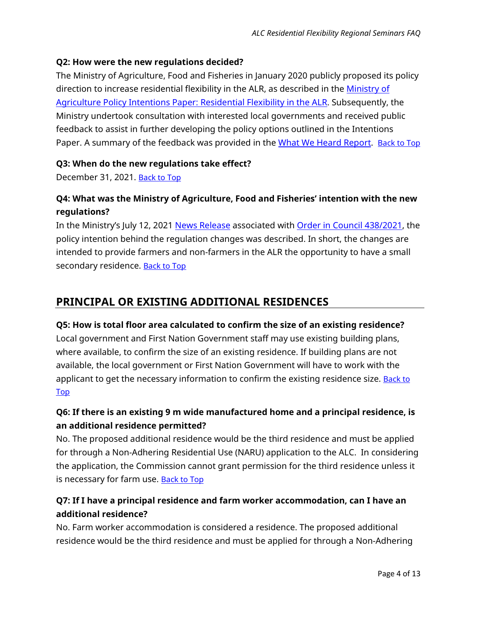#### <span id="page-3-0"></span>**Q2: How were the new regulations decided?**

The Ministry of Agriculture, Food and Fisheries in January 2020 publicly proposed its policy direction to increase residential flexibility in the ALR, as described in the Ministry of [Agriculture Policy Intentions Paper: Residential Flexibility in the ALR.](https://www2.gov.bc.ca/assets/gov/farming-natural-resources-and-industry/agriculture-and-seafood/agricultural-land-and-environment/agriculture-land-reserve/residential_flexibility_intentions_paper.pdf) Subsequently, the Ministry undertook consultation with interested local governments and received public feedback to assist in further developing the policy options outlined in the Intentions Paper. A summary of the feedback was provided in the [What We Heard Report.](https://www2.gov.bc.ca/assets/gov/farming-natural-resources-and-industry/agriculture-and-seafood/agricultural-land-and-environment/agriculture-land-reserve/what_we_heard_summary_residential_flexibility.pdf) [Back to Top](#page-0-0)

#### <span id="page-3-1"></span>**Q3: When do the new regulations take effect?**

December 31, 2021. [Back to Top](#page-0-0)

## <span id="page-3-2"></span>**Q4: What was the Ministry of Agriculture, Food and Fisheries' intention with the new regulations?**

In the Ministry's July 12, 2021 [News Release](https://news.gov.bc.ca/releases/2021AFF0043-001352) associated with [Order in Council 438/2021,](https://www.alc.gov.bc.ca/assets/alc/assets/legislation-and-regulation/the-act-and-regulation/oic_438_2021_additional_residences.pdf) the policy intention behind the regulation changes was described. In short, the changes are intended to provide farmers and non-farmers in the ALR the opportunity to have a small secondary residence. **Back to Top** 

## <span id="page-3-3"></span>**PRINCIPAL OR EXISTING ADDITIONAL RESIDENCES**

#### <span id="page-3-4"></span>**Q5: How is total floor area calculated to confirm the size of an existing residence?**

Local government and First Nation Government staff may use existing building plans, where available, to confirm the size of an existing residence. If building plans are not available, the local government or First Nation Government will have to work with the applicant to get the necessary information to confirm the existing residence size. **Back to** [Top](#page-0-0)

### <span id="page-3-5"></span>**Q6: If there is an existing 9 m wide manufactured home and a principal residence, is an additional residence permitted?**

No. The proposed additional residence would be the third residence and must be applied for through a Non-Adhering Residential Use (NARU) application to the ALC. In considering the application, the Commission cannot grant permission for the third residence unless it is necessary for farm use. **[Back to Top](#page-0-0)** 

## <span id="page-3-6"></span>**Q7: If I have a principal residence and farm worker accommodation, can I have an additional residence?**

No. Farm worker accommodation is considered a residence. The proposed additional residence would be the third residence and must be applied for through a Non-Adhering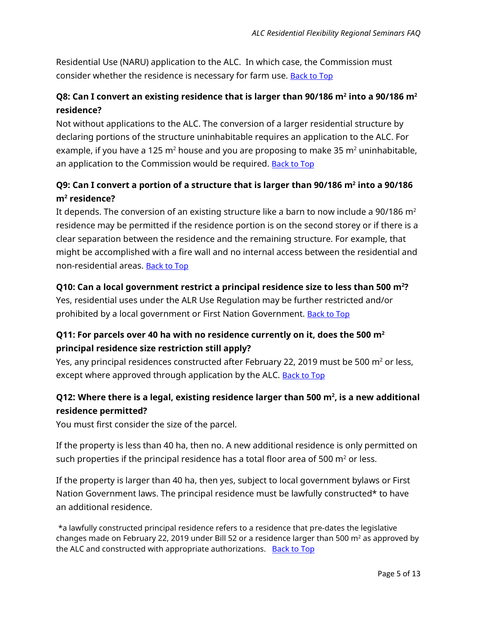Residential Use (NARU) application to the ALC. In which case, the Commission must consider whether the residence is necessary for farm use. **[Back to Top](#page-0-0)** 

### <span id="page-4-0"></span>**Q8: Can I convert an existing residence that is larger than 90/186 m2 into a 90/186 m2 residence?**

Not without applications to the ALC. The conversion of a larger residential structure by declaring portions of the structure uninhabitable requires an application to the ALC. For example, if you have a 125  $m^2$  house and you are proposing to make 35  $m^2$  uninhabitable, an application to the Commission would be required. [Back to Top](#page-0-0)

## <span id="page-4-1"></span>**Q9: Can I convert a portion of a structure that is larger than 90/186 m2 into a 90/186 m2 residence?**

It depends. The conversion of an existing structure like a barn to now include a 90/186  $m<sup>2</sup>$ residence may be permitted if the residence portion is on the second storey or if there is a clear separation between the residence and the remaining structure. For example, that might be accomplished with a fire wall and no internal access between the residential and non-residential areas. [Back to Top](#page-0-0)

### <span id="page-4-2"></span>**Q10: Can a local government restrict a principal residence size to less than 500 m2 ?**

Yes, residential uses under the ALR Use Regulation may be further restricted and/or prohibited by a local government or First Nation Government. [Back to Top](#page-0-0)

### <span id="page-4-3"></span>**Q11: For parcels over 40 ha with no residence currently on it, does the 500 m2 principal residence size restriction still apply?**

Yes, any principal residences constructed after February 22, 2019 must be 500  $m^2$  or less, except where approved through application by the ALC. **Back to Top** 

## <span id="page-4-4"></span>Q12: Where there is a legal, existing residence larger than 500 m<sup>2</sup>, is a new additional **residence permitted?**

You must first consider the size of the parcel.

If the property is less than 40 ha, then no. A new additional residence is only permitted on such properties if the principal residence has a total floor area of 500  $m<sup>2</sup>$  or less.

If the property is larger than 40 ha, then yes, subject to local government bylaws or First Nation Government laws. The principal residence must be lawfully constructed\* to have an additional residence.

\*a lawfully constructed principal residence refers to a residence that pre-dates the legislative changes made on February 22, 2019 under Bill 52 or a residence larger than 500  $m<sup>2</sup>$  as approved by the ALC and constructed with appropriate authorizations. [Back to Top](#page-0-0)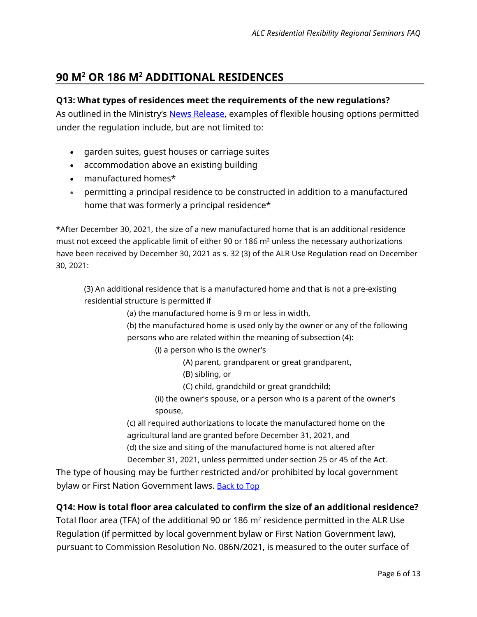## <span id="page-5-0"></span>**90 M2 OR 186 M2 ADDITIONAL RESIDENCES**

#### <span id="page-5-1"></span>**Q13: What types of residences meet the requirements of the new regulations?**

As outlined in the Ministry's [News Release,](https://news.gov.bc.ca/releases/2021AFF0043-001352) examples of flexible housing options permitted under the regulation include, but are not limited to:

- garden suites, guest houses or carriage suites
- accommodation above an existing building
- manufactured homes\*
- permitting a principal residence to be constructed in addition to a manufactured home that was formerly a principal residence\*

\*After December 30, 2021, the size of a new manufactured home that is an additional residence must not exceed the applicable limit of either 90 or 186  $m<sup>2</sup>$  unless the necessary authorizations have been received by December 30, 2021 as s. 32 (3) of the ALR Use Regulation read on December 30, 2021:

(3) An additional residence that is a manufactured home and that is not a pre-existing residential structure is permitted if

(a) the manufactured home is 9 m or less in width,

(b) the manufactured home is used only by the owner or any of the following persons who are related within the meaning of subsection (4):

(i) a person who is the owner's

- (A) parent, grandparent or great grandparent,
- (B) sibling, or
- (C) child, grandchild or great grandchild;
- (ii) the owner's spouse, or a person who is a parent of the owner's spouse,

(c) all required authorizations to locate the manufactured home on the agricultural land are granted before December 31, 2021, and

(d) the size and siting of the manufactured home is not altered after

December 31, 2021, unless permitted under section 25 or 45 of the Act.

The type of housing may be further restricted and/or prohibited by local government bylaw or First Nation Government laws. **Back to Top** 

#### <span id="page-5-2"></span>**Q14: How is total floor area calculated to confirm the size of an additional residence?**

Total floor area (TFA) of the additional 90 or 186  $m<sup>2</sup>$  residence permitted in the ALR Use Regulation (if permitted by local government bylaw or First Nation Government law), pursuant to Commission Resolution No. 086N/2021, is measured to the outer surface of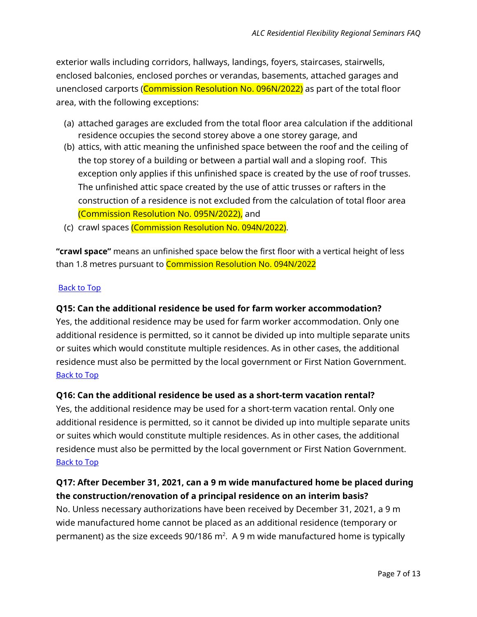exterior walls including corridors, hallways, landings, foyers, staircases, stairwells, enclosed balconies, enclosed porches or verandas, basements, attached garages and unenclosed carports (Commission Resolution No. 096N/2022) as part of the total floor area, with the following exceptions:

- (a) attached garages are excluded from the total floor area calculation if the additional residence occupies the second storey above a one storey garage, and
- (b) attics, with attic meaning the unfinished space between the roof and the ceiling of the top storey of a building or between a partial wall and a sloping roof. This exception only applies if this unfinished space is created by the use of roof trusses. The unfinished attic space created by the use of attic trusses or rafters in the construction of a residence is not excluded from the calculation of total floor area (Commission Resolution No. 095N/2022), and
- (c) crawl spaces (Commission Resolution No. 094N/2022).

**"crawl space"** means an unfinished space below the first floor with a vertical height of less than 1.8 metres pursuant to Commission Resolution No. 094N/2022

#### [Back to Top](#page-0-0)

#### <span id="page-6-0"></span>**Q15: Can the additional residence be used for farm worker accommodation?**

Yes, the additional residence may be used for farm worker accommodation. Only one additional residence is permitted, so it cannot be divided up into multiple separate units or suites which would constitute multiple residences. As in other cases, the additional residence must also be permitted by the local government or First Nation Government. [Back to Top](#page-0-0)

#### <span id="page-6-1"></span>**Q16: Can the additional residence be used as a short-term vacation rental?**

Yes, the additional residence may be used for a short-term vacation rental. Only one additional residence is permitted, so it cannot be divided up into multiple separate units or suites which would constitute multiple residences. As in other cases, the additional residence must also be permitted by the local government or First Nation Government. [Back to Top](#page-0-0)

### <span id="page-6-2"></span>**Q17: After December 31, 2021, can a 9 m wide manufactured home be placed during the construction/renovation of a principal residence on an interim basis?**

No. Unless necessary authorizations have been received by December 31, 2021, a 9 m wide manufactured home cannot be placed as an additional residence (temporary or permanent) as the size exceeds 90/186 m<sup>2</sup>. A 9 m wide manufactured home is typically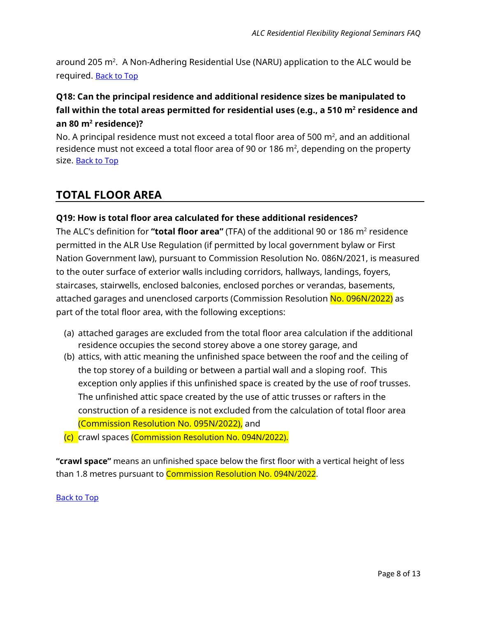around 205 m². A Non-Adhering Residential Use (NARU) application to the ALC would be required. **[Back to Top](#page-0-0)** 

## <span id="page-7-0"></span>**Q18: Can the principal residence and additional residence sizes be manipulated to fall within the total areas permitted for residential uses (e.g., a 510 m2 residence and an 80 m2 residence)?**

No. A principal residence must not exceed a total floor area of 500  $\mathrm{m}^2$ , and an additional residence must not exceed a total floor area of 90 or 186 m², depending on the property size. **Back to Top** 

## <span id="page-7-1"></span>**TOTAL FLOOR AREA**

#### <span id="page-7-2"></span>**Q19: How is total floor area calculated for these additional residences?**

The ALC's definition for "total floor area" (TFA) of the additional 90 or 186 m<sup>2</sup> residence permitted in the ALR Use Regulation (if permitted by local government bylaw or First Nation Government law), pursuant to Commission Resolution No. 086N/2021, is measured to the outer surface of exterior walls including corridors, hallways, landings, foyers, staircases, stairwells, enclosed balconies, enclosed porches or verandas, basements, attached garages and unenclosed carports (Commission Resolution No. 096N/2022) as part of the total floor area, with the following exceptions:

- (a) attached garages are excluded from the total floor area calculation if the additional residence occupies the second storey above a one storey garage, and
- (b) attics, with attic meaning the unfinished space between the roof and the ceiling of the top storey of a building or between a partial wall and a sloping roof. This exception only applies if this unfinished space is created by the use of roof trusses. The unfinished attic space created by the use of attic trusses or rafters in the construction of a residence is not excluded from the calculation of total floor area (Commission Resolution No. 095N/2022), and
- (c) crawl spaces (Commission Resolution No. 094N/2022).

**"crawl space"** means an unfinished space below the first floor with a vertical height of less than 1.8 metres pursuant to **Commission Resolution No. 094N/2022**.

[Back to Top](#page-0-0)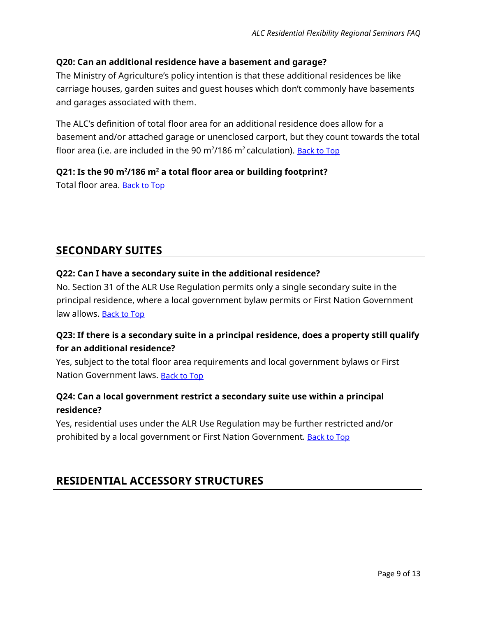#### <span id="page-8-0"></span>**Q20: Can an additional residence have a basement and garage?**

The Ministry of Agriculture's policy intention is that these additional residences be like carriage houses, garden suites and guest houses which don't commonly have basements and garages associated with them.

The ALC's definition of total floor area for an additional residence does allow for a basement and/or attached garage or unenclosed carport, but they count towards the total floor area (i.e. are included in the 90 m<sup>2</sup>/186 m<sup>2</sup> calculation). <u>[Back to Top](#page-0-0)</u>

#### <span id="page-8-1"></span>**Q21: Is the 90 m2 /186 m2 a total floor area or building footprint?**

Total floor area. [Back to Top](#page-0-0)

### <span id="page-8-2"></span>**SECONDARY SUITES**

#### <span id="page-8-3"></span>**Q22: Can I have a secondary suite in the additional residence?**

No. Section 31 of the ALR Use Regulation permits only a single secondary suite in the principal residence, where a local government bylaw permits or First Nation Government law allows. [Back to Top](#page-0-0)

### <span id="page-8-4"></span>**Q23: If there is a secondary suite in a principal residence, does a property still qualify for an additional residence?**

Yes, subject to the total floor area requirements and local government bylaws or First Nation Government laws. [Back to Top](#page-0-0)

### <span id="page-8-5"></span>**Q24: Can a local government restrict a secondary suite use within a principal residence?**

Yes, residential uses under the ALR Use Regulation may be further restricted and/or prohibited by a local government or First Nation Government. [Back to Top](#page-0-0)

## <span id="page-8-6"></span>**RESIDENTIAL ACCESSORY STRUCTURES**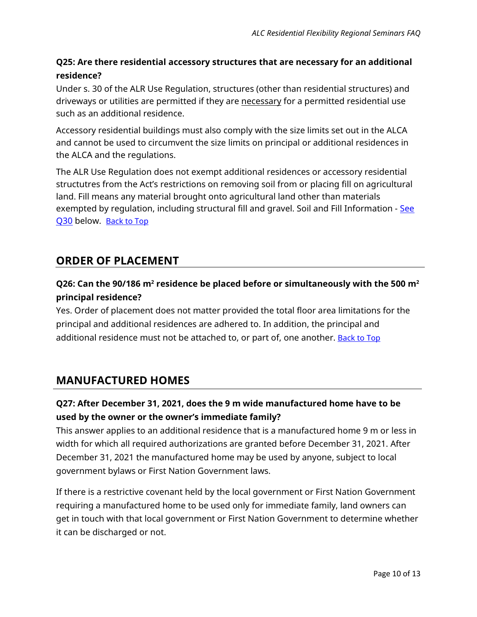## <span id="page-9-0"></span>**Q25: Are there residential accessory structures that are necessary for an additional residence?**

Under s. 30 of the ALR Use Regulation, structures (other than residential structures) and driveways or utilities are permitted if they are necessary for a permitted residential use such as an additional residence.

Accessory residential buildings must also comply with the size limits set out in the ALCA and cannot be used to circumvent the size limits on principal or additional residences in the ALCA and the regulations.

The ALR Use Regulation does not exempt additional residences or accessory residential structutres from the Act's restrictions on removing soil from or placing fill on agricultural land. Fill means any material brought onto agricultural land other than materials exempted by regulation, including structural fill and gravel. Soil and Fill Information - See [Q30](#page-10-3) below. [Back to Top](#page-0-0)

# <span id="page-9-1"></span>**ORDER OF PLACEMENT**

## <span id="page-9-2"></span>**Q26: Can the 90/186 m2 residence be placed before or simultaneously with the 500 m2 principal residence?**

Yes. Order of placement does not matter provided the total floor area limitations for the principal and additional residences are adhered to. In addition, the principal and additional residence must not be attached to, or part of, one another. **[Back to Top](#page-0-0)** 

# <span id="page-9-3"></span>**MANUFACTURED HOMES**

### <span id="page-9-4"></span>**Q27: After December 31, 2021, does the 9 m wide manufactured home have to be used by the owner or the owner's immediate family?**

This answer applies to an additional residence that is a manufactured home 9 m or less in width for which all required authorizations are granted before December 31, 2021. After December 31, 2021 the manufactured home may be used by anyone, subject to local government bylaws or First Nation Government laws.

If there is a restrictive covenant held by the local government or First Nation Government requiring a manufactured home to be used only for immediate family, land owners can get in touch with that local government or First Nation Government to determine whether it can be discharged or not.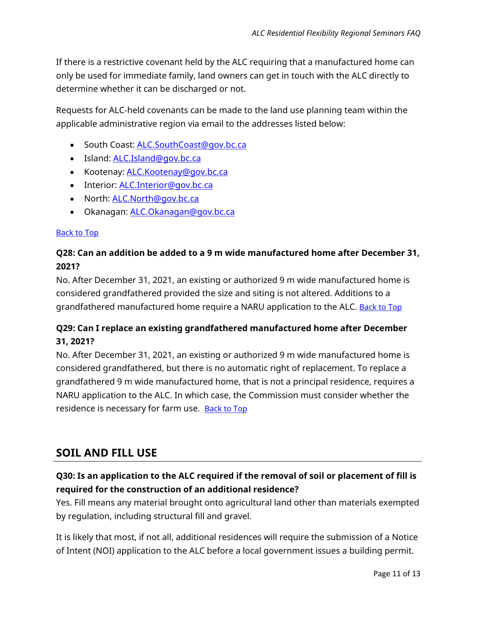If there is a restrictive covenant held by the ALC requiring that a manufactured home can only be used for immediate family, land owners can get in touch with the ALC directly to determine whether it can be discharged or not.

Requests for ALC-held covenants can be made to the land use planning team within the applicable administrative region via email to the addresses listed below:

- South Coast: **ALC.SouthCoast@gov.bc.ca**
- Island: [ALC.Island@gov.bc.ca](mailto:ALC.Island@gov.bc.ca)
- Kootenay: **ALC.Kootenay@gov.bc.ca**
- Interior: [ALC.Interior@gov.bc.ca](mailto:ALC.Interior@gov.bc.ca)
- North: [ALC.North@gov.bc.ca](mailto:ALC.North@gov.bc.ca)
- Okanagan: [ALC.Okanagan@gov.bc.ca](mailto:ALC.Okanagan@gov.bc.ca)

#### [Back to Top](#page-0-0)

### <span id="page-10-0"></span>**Q28: Can an addition be added to a 9 m wide manufactured home after December 31, 2021?**

No. After December 31, 2021, an existing or authorized 9 m wide manufactured home is considered grandfathered provided the size and siting is not altered. Additions to a grandfathered manufactured home require a NARU application to the ALC. [Back to Top](#page-0-0)

### <span id="page-10-1"></span>**Q29: Can I replace an existing grandfathered manufactured home after December 31, 2021?**

No. After December 31, 2021, an existing or authorized 9 m wide manufactured home is considered grandfathered, but there is no automatic right of replacement. To replace a grandfathered 9 m wide manufactured home, that is not a principal residence, requires a NARU application to the ALC. In which case, the Commission must consider whether the residence is necessary for farm use. **[Back to Top](#page-0-0)** 

## <span id="page-10-2"></span>**SOIL AND FILL USE**

### <span id="page-10-3"></span>**Q30: Is an application to the ALC required if the removal of soil or placement of fill is required for the construction of an additional residence?**

Yes. Fill means any material brought onto agricultural land other than materials exempted by regulation, including structural fill and gravel.

It is likely that most, if not all, additional residences will require the submission of a Notice of Intent (NOI) application to the ALC before a local government issues a building permit.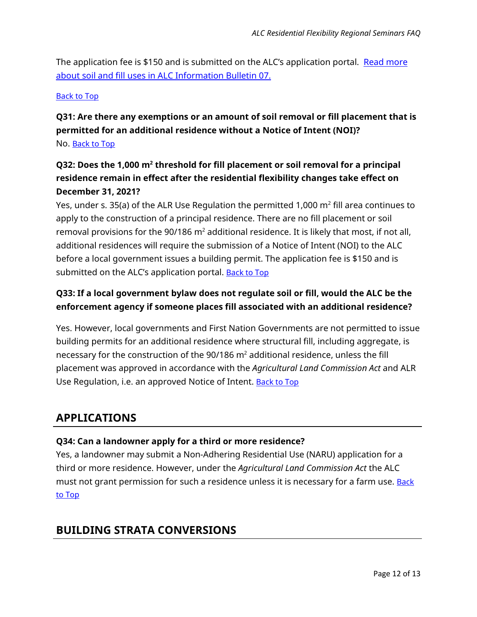The application fee is \$150 and is submitted on the ALC's application portal. Read more [about soil and fill uses in ALC Information Bulletin 07.](https://www.alc.gov.bc.ca/assets/alc/assets/legislation-and-regulation/information-bulletins/information_bulletin_07_-_soil_or_fill_uses_in_the_alr.pdf) 

#### [Back to Top](#page-0-0)

## <span id="page-11-0"></span>**Q31: Are there any exemptions or an amount of soil removal or fill placement that is permitted for an additional residence without a Notice of Intent (NOI)?** No. [Back to Top](#page-0-0)

## <span id="page-11-1"></span>**Q32: Does the 1,000 m2 threshold for fill placement or soil removal for a principal residence remain in effect after the residential flexibility changes take effect on December 31, 2021?**

Yes, under s. 35(a) of the ALR Use Regulation the permitted 1,000  $m^2$  fill area continues to apply to the construction of a principal residence. There are no fill placement or soil removal provisions for the 90/186  $m<sup>2</sup>$  additional residence. It is likely that most, if not all, additional residences will require the submission of a Notice of Intent (NOI) to the ALC before a local government issues a building permit. The application fee is \$150 and is submitted on the ALC's application portal. [Back to Top](#page-0-0)

## <span id="page-11-2"></span>**Q33: If a local government bylaw does not regulate soil or fill, would the ALC be the enforcement agency if someone places fill associated with an additional residence?**

Yes. However, local governments and First Nation Governments are not permitted to issue building permits for an additional residence where structural fill, including aggregate, is necessary for the construction of the  $90/186$  m<sup>2</sup> additional residence, unless the fill placement was approved in accordance with the *Agricultural Land Commission Act* and ALR Use Regulation, i.e. an approved Notice of Intent. **[Back to Top](#page-0-0)** 

## <span id="page-11-3"></span>**APPLICATIONS**

### <span id="page-11-4"></span>**Q34: Can a landowner apply for a third or more residence?**

Yes, a landowner may submit a Non-Adhering Residential Use (NARU) application for a third or more residence. However, under the *Agricultural Land Commission Act* the ALC must not grant permission for such a residence unless it is necessary for a farm use. Back [to Top](#page-0-0)

## <span id="page-11-5"></span>**BUILDING STRATA CONVERSIONS**